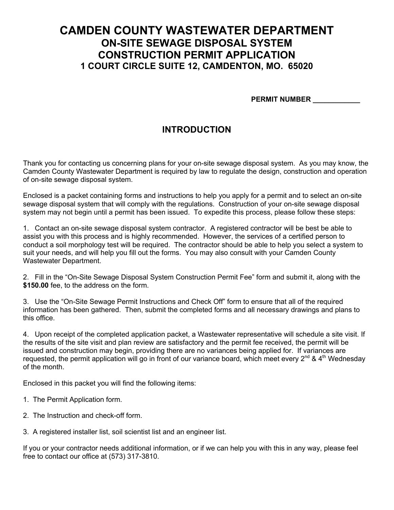## **CAMDEN COUNTY WASTEWATER DEPARTMENT ON-SITE SEWAGE DISPOSAL SYSTEM CONSTRUCTION PERMIT APPLICATION 1 COURT CIRCLE SUITE 12, CAMDENTON, MO. 65020**

 **PERMIT NUMBER \_\_\_\_\_\_\_\_\_\_\_\_**

## **INTRODUCTION**

Thank you for contacting us concerning plans for your on-site sewage disposal system. As you may know, the Camden County Wastewater Department is required by law to regulate the design, construction and operation of on-site sewage disposal system.

Enclosed is a packet containing forms and instructions to help you apply for a permit and to select an on-site sewage disposal system that will comply with the regulations. Construction of your on-site sewage disposal system may not begin until a permit has been issued. To expedite this process, please follow these steps:

1. Contact an on-site sewage disposal system contractor. A registered contractor will be best be able to assist you with this process and is highly recommended. However, the services of a certified person to conduct a soil morphology test will be required. The contractor should be able to help you select a system to suit your needs, and will help you fill out the forms. You may also consult with your Camden County Wastewater Department.

2. Fill in the "On-Site Sewage Disposal System Construction Permit Fee" form and submit it, along with the **\$150.00** fee, to the address on the form.

3. Use the "On-Site Sewage Permit Instructions and Check Off" form to ensure that all of the required information has been gathered. Then, submit the completed forms and all necessary drawings and plans to this office.

4. Upon receipt of the completed application packet, a Wastewater representative will schedule a site visit. If the results of the site visit and plan review are satisfactory and the permit fee received, the permit will be issued and construction may begin, providing there are no variances being applied for. If variances are requested, the permit application will go in front of our variance board, which meet every 2<sup>nd</sup> & 4<sup>th</sup> Wednesday of the month.

Enclosed in this packet you will find the following items:

- 1. The Permit Application form.
- 2. The Instruction and check-off form.
- 3. A registered installer list, soil scientist list and an engineer list.

If you or your contractor needs additional information, or if we can help you with this in any way, please feel free to contact our office at (573) 317-3810.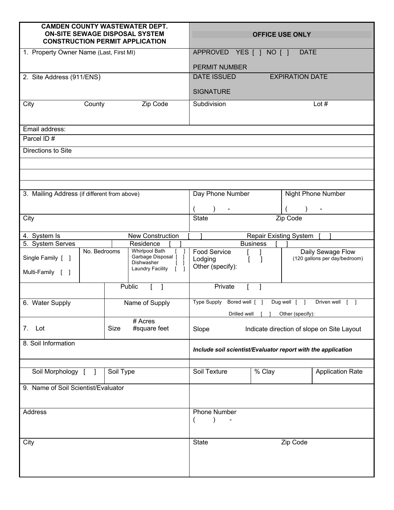| <b>CAMDEN COUNTY WASTEWATER DEPT.</b><br><b>ON-SITE SEWAGE DISPOSAL SYSTEM</b><br><b>CONSTRUCTION PERMIT APPLICATION</b>                      |                      |                                                  | <b>OFFICE USE ONLY</b>                                       |
|-----------------------------------------------------------------------------------------------------------------------------------------------|----------------------|--------------------------------------------------|--------------------------------------------------------------|
| 1. Property Owner Name (Last, First MI)                                                                                                       |                      | APPROVED YES [ ] NO [ ]                          | <b>DATE</b>                                                  |
|                                                                                                                                               |                      | <b>PERMIT NUMBER</b>                             |                                                              |
| 2. Site Address (911/ENS)                                                                                                                     |                      | <b>DATE ISSUED</b>                               | <b>EXPIRATION DATE</b>                                       |
|                                                                                                                                               |                      |                                                  |                                                              |
|                                                                                                                                               |                      | <b>SIGNATURE</b>                                 |                                                              |
| Zip Code<br>City<br>County                                                                                                                    |                      | Subdivision                                      | Lot $#$                                                      |
| Email address:                                                                                                                                |                      |                                                  |                                                              |
| Parcel ID#                                                                                                                                    |                      |                                                  |                                                              |
| Directions to Site                                                                                                                            |                      |                                                  |                                                              |
|                                                                                                                                               |                      |                                                  |                                                              |
|                                                                                                                                               |                      |                                                  |                                                              |
|                                                                                                                                               |                      |                                                  |                                                              |
| 3. Mailing Address (if different from above)                                                                                                  |                      | Day Phone Number                                 | Night Phone Number                                           |
|                                                                                                                                               |                      |                                                  |                                                              |
| City                                                                                                                                          |                      | <b>State</b>                                     | Zip Code                                                     |
| <b>New Construction</b><br>4. System Is                                                                                                       |                      |                                                  | <b>Repair Existing System</b>                                |
| 5. System Serves                                                                                                                              | Residence            | <b>Business</b>                                  |                                                              |
| No. Bedrooms<br><b>Whirlpool Bath</b><br>Garbage Disposal [<br>Single Family [ ]<br>Dishwasher<br><b>Laundry Facility</b><br>Multi-Family [ ] |                      | Food Service<br>Lodging<br>L<br>Other (specify): | Daily Sewage Flow<br>(120 gallons per day/bedroom)           |
|                                                                                                                                               | Public               | Private                                          |                                                              |
| 6. Water Supply                                                                                                                               | Name of Supply       | Type Supply<br>Bored well [ ]                    | Driven well<br>Dug well [ ]<br>$\mathbf{I}$                  |
|                                                                                                                                               | # Acres              | Drilled well                                     | Other (specify):                                             |
| 7.<br>Lot                                                                                                                                     | Size<br>#square feet | Slope                                            | Indicate direction of slope on Site Layout                   |
| 8. Soil Information                                                                                                                           |                      |                                                  | Include soil scientist/Evaluator report with the application |
| Soil Morphology [                                                                                                                             | Soil Type            | Soil Texture<br>% Clay                           | <b>Application Rate</b>                                      |
|                                                                                                                                               |                      |                                                  |                                                              |
| 9. Name of Soil Scientist/Evaluator                                                                                                           |                      |                                                  |                                                              |
| Address                                                                                                                                       |                      | <b>Phone Number</b>                              |                                                              |
| City                                                                                                                                          |                      | <b>State</b>                                     | Zip Code                                                     |
|                                                                                                                                               |                      |                                                  |                                                              |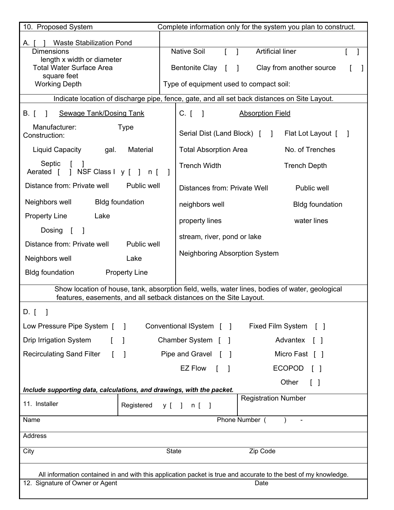| 10. Proposed System<br>Complete information only for the system you plan to construct.                                                                                |                                                                         |  |  |  |  |
|-----------------------------------------------------------------------------------------------------------------------------------------------------------------------|-------------------------------------------------------------------------|--|--|--|--|
| <b>Waste Stabilization Pond</b><br>A. [                                                                                                                               |                                                                         |  |  |  |  |
| <b>Dimensions</b>                                                                                                                                                     | <b>Native Soil</b><br><b>Artificial liner</b><br>$\mathbf{I}$           |  |  |  |  |
| length x width or diameter<br><b>Total Water Surface Area</b>                                                                                                         | <b>Bentonite Clay</b><br>Clay from another source                       |  |  |  |  |
| square feet<br><b>Working Depth</b>                                                                                                                                   | Type of equipment used to compact soil:                                 |  |  |  |  |
|                                                                                                                                                                       |                                                                         |  |  |  |  |
| Indicate location of discharge pipe, fence, gate, and all set back distances on Site Layout.                                                                          |                                                                         |  |  |  |  |
| <b>Sewage Tank/Dosing Tank</b><br>B. [<br>$\mathbf{I}$                                                                                                                | $C.$ [ ]<br><b>Absorption Field</b>                                     |  |  |  |  |
| Manufacturer:<br><b>Type</b><br>Construction:                                                                                                                         | Serial Dist (Land Block) [<br>Flat Lot Layout [ ]<br>$\blacksquare$     |  |  |  |  |
| Material<br>Liquid Capacity<br>gal.                                                                                                                                   | <b>Total Absorption Area</b><br>No. of Trenches                         |  |  |  |  |
| Septic<br>] NSF Class I y [ ] n [<br>Aerated [                                                                                                                        | <b>Trench Width</b><br><b>Trench Depth</b>                              |  |  |  |  |
| Distance from: Private well<br>Public well                                                                                                                            | Distances from: Private Well<br>Public well                             |  |  |  |  |
| <b>Bldg foundation</b><br>Neighbors well                                                                                                                              | neighbors well<br><b>Bldg foundation</b>                                |  |  |  |  |
| <b>Property Line</b><br>Lake                                                                                                                                          | water lines<br>property lines                                           |  |  |  |  |
| Dosing [                                                                                                                                                              | stream, river, pond or lake                                             |  |  |  |  |
| Distance from: Private well<br>Public well                                                                                                                            |                                                                         |  |  |  |  |
| Neighbors well<br>Lake                                                                                                                                                | <b>Neighboring Absorption System</b>                                    |  |  |  |  |
| <b>Bldg foundation</b><br><b>Property Line</b>                                                                                                                        |                                                                         |  |  |  |  |
| Show location of house, tank, absorption field, wells, water lines, bodies of water, geological<br>features, easements, and all setback distances on the Site Layout. |                                                                         |  |  |  |  |
| D. [                                                                                                                                                                  |                                                                         |  |  |  |  |
| Low Pressure Pipe System [<br>$\overline{\phantom{a}}$                                                                                                                | Conventional ISystem [ ]<br><b>Fixed Film System</b><br>$\lceil \rceil$ |  |  |  |  |
| <b>Drip Irrigation System</b><br>$\mathbb{L}$<br>$\mathbf{I}$                                                                                                         | Chamber System [ ]<br>Advantex<br>$\Box$                                |  |  |  |  |
| <b>Recirculating Sand Filter</b><br>L                                                                                                                                 | Pipe and Gravel [<br>Micro Fast [ ]                                     |  |  |  |  |
|                                                                                                                                                                       | EZ Flow<br><b>ECOPOD</b>                                                |  |  |  |  |
|                                                                                                                                                                       | Other<br>$\mathbf{L}$                                                   |  |  |  |  |
| Include supporting data, calculations, and drawings, with the packet.                                                                                                 | <b>Registration Number</b>                                              |  |  |  |  |
| 11. Installer<br>Registered                                                                                                                                           | $y \mid \quad$<br>$n$ [ $\;$ ]                                          |  |  |  |  |
| Phone Number (<br>Name<br>$\overline{\phantom{a}}$                                                                                                                    |                                                                         |  |  |  |  |
| Address                                                                                                                                                               |                                                                         |  |  |  |  |
| City                                                                                                                                                                  | <b>State</b><br>Zip Code                                                |  |  |  |  |
| All information contained in and with this application packet is true and accurate to the best of my knowledge.                                                       |                                                                         |  |  |  |  |
| 12. Signature of Owner or Agent<br>Date                                                                                                                               |                                                                         |  |  |  |  |
|                                                                                                                                                                       |                                                                         |  |  |  |  |